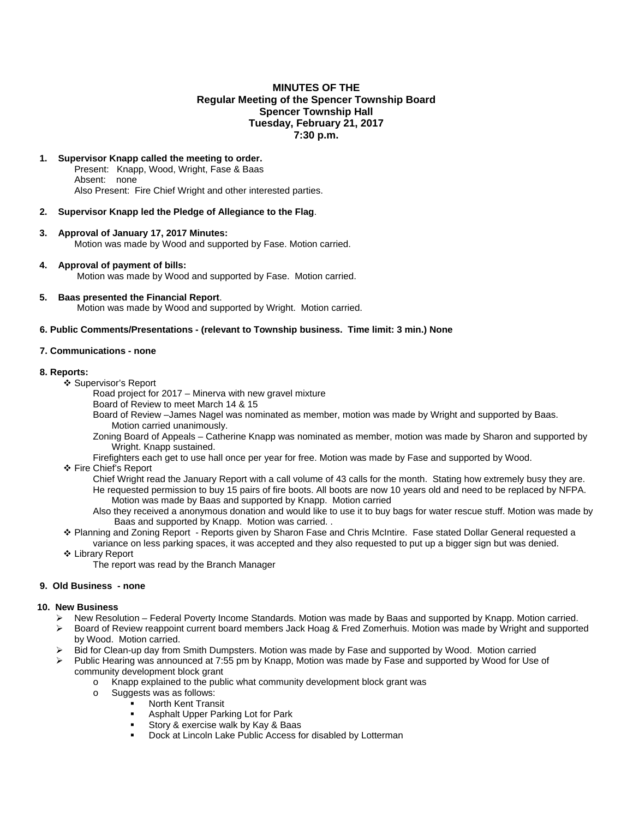# **MINUTES OF THE Regular Meeting of the Spencer Township Board Spencer Township Hall Tuesday, February 21, 2017 7:30 p.m.**

# **1. Supervisor Knapp called the meeting to order.**

Present: Knapp, Wood, Wright, Fase & Baas Absent: none Also Present: Fire Chief Wright and other interested parties.

# **2. Supervisor Knapp led the Pledge of Allegiance to the Flag**.

- **3. Approval of January 17, 2017 Minutes:**  Motion was made by Wood and supported by Fase. Motion carried.
- **4. Approval of payment of bills:**  Motion was made by Wood and supported by Fase. Motion carried.
- **5. Baas presented the Financial Report**. Motion was made by Wood and supported by Wright. Motion carried.

## **6. Public Comments/Presentations - (relevant to Township business. Time limit: 3 min.) None**

## **7. Communications - none**

#### **8. Reports:**

- Supervisor's Report
	- Road project for 2017 Minerva with new gravel mixture
	- Board of Review to meet March 14 & 15
	- Board of Review –James Nagel was nominated as member, motion was made by Wright and supported by Baas. Motion carried unanimously.
	- Zoning Board of Appeals Catherine Knapp was nominated as member, motion was made by Sharon and supported by Wright. Knapp sustained.
	- Firefighters each get to use hall once per year for free. Motion was made by Fase and supported by Wood.
- ❖ Fire Chief's Report
	- Chief Wright read the January Report with a call volume of 43 calls for the month. Stating how extremely busy they are. He requested permission to buy 15 pairs of fire boots. All boots are now 10 years old and need to be replaced by NFPA. Motion was made by Baas and supported by Knapp. Motion carried
	- Also they received a anonymous donation and would like to use it to buy bags for water rescue stuff. Motion was made by Baas and supported by Knapp. Motion was carried. .
- Planning and Zoning Report Reports given by Sharon Fase and Chris McIntire. Fase stated Dollar General requested a variance on less parking spaces, it was accepted and they also requested to put up a bigger sign but was denied.
- Library Report
	- The report was read by the Branch Manager

#### **9. Old Business - none**

#### **10. New Business**

- $\triangleright$  New Resolution Federal Poverty Income Standards. Motion was made by Baas and supported by Knapp. Motion carried.
- ▶ Board of Review reappoint current board members Jack Hoag & Fred Zomerhuis. Motion was made by Wright and supported by Wood. Motion carried.
- Bid for Clean-up day from Smith Dumpsters. Motion was made by Fase and supported by Wood. Motion carried
- Public Hearing was announced at 7:55 pm by Knapp, Motion was made by Fase and supported by Wood for Use of community development block grant
	- o Knapp explained to the public what community development block grant was
	- o Suggests was as follows:
		- North Kent Transit
			- **Asphalt Upper Parking Lot for Park**
			- **Story & exercise walk by Kay & Baas**
			- Dock at Lincoln Lake Public Access for disabled by Lotterman